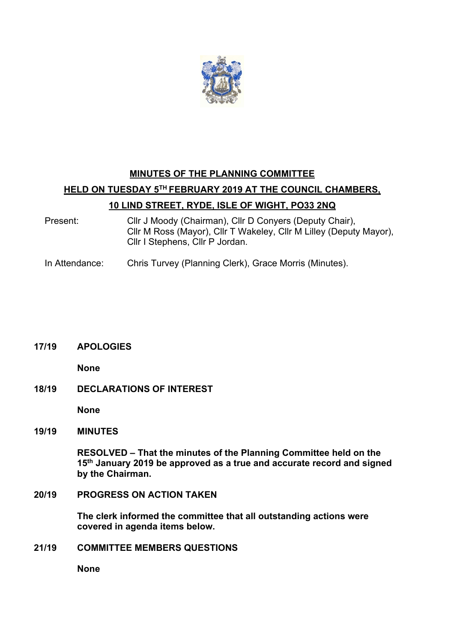

# **MINUTES OF THE PLANNING COMMITTEE HELD ON TUESDAY 5TH FEBRUARY 2019 AT THE COUNCIL CHAMBERS, 10 LIND STREET, RYDE, ISLE OF WIGHT, PO33 2NQ**

- Present: Cllr J Moody (Chairman), Cllr D Conyers (Deputy Chair), Cllr M Ross (Mayor), Cllr T Wakeley, Cllr M Lilley (Deputy Mayor), Cllr I Stephens, Cllr P Jordan.
- In Attendance: Chris Turvey (Planning Clerk), Grace Morris (Minutes).

# **17/19 APOLOGIES**

**None**

**18/19 DECLARATIONS OF INTEREST** 

**None**

**19/19 MINUTES** 

**RESOLVED – That the minutes of the Planning Committee held on the 15th January 2019 be approved as a true and accurate record and signed by the Chairman.** 

**20/19 PROGRESS ON ACTION TAKEN** 

**The clerk informed the committee that all outstanding actions were covered in agenda items below.**

**21/19 COMMITTEE MEMBERS QUESTIONS** 

**None**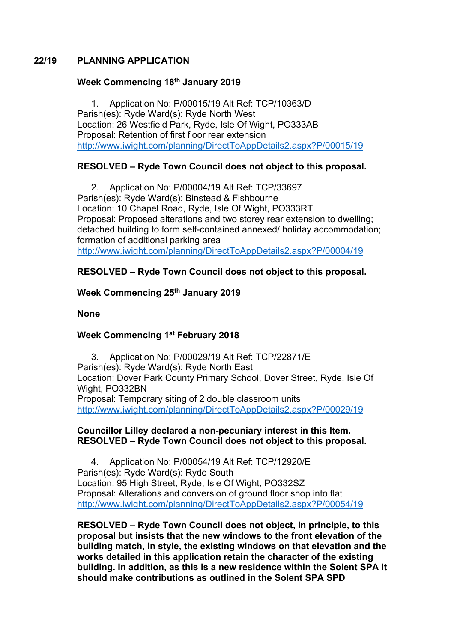# **22/19 PLANNING APPLICATION**

#### **Week Commencing 18th January 2019**

1. Application No: P/00015/19 Alt Ref: TCP/10363/D Parish(es): Ryde Ward(s): Ryde North West Location: 26 Westfield Park, Ryde, Isle Of Wight, PO333AB Proposal: Retention of first floor rear extension http://www.iwight.com/planning/DirectToAppDetails2.aspx?P/00015/19

# **RESOLVED – Ryde Town Council does not object to this proposal.**

2. Application No: P/00004/19 Alt Ref: TCP/33697 Parish(es): Ryde Ward(s): Binstead & Fishbourne Location: 10 Chapel Road, Ryde, Isle Of Wight, PO333RT Proposal: Proposed alterations and two storey rear extension to dwelling; detached building to form self-contained annexed/ holiday accommodation; formation of additional parking area http://www.iwight.com/planning/DirectToAppDetails2.aspx?P/00004/19

# **RESOLVED – Ryde Town Council does not object to this proposal.**

# **Week Commencing 25th January 2019**

#### **None**

# **Week Commencing 1st February 2018**

3. Application No: P/00029/19 Alt Ref: TCP/22871/E Parish(es): Ryde Ward(s): Ryde North East Location: Dover Park County Primary School, Dover Street, Ryde, Isle Of Wight, PO332BN Proposal: Temporary siting of 2 double classroom units http://www.iwight.com/planning/DirectToAppDetails2.aspx?P/00029/19

#### **Councillor Lilley declared a non-pecuniary interest in this Item. RESOLVED – Ryde Town Council does not object to this proposal.**

4. Application No: P/00054/19 Alt Ref: TCP/12920/E Parish(es): Ryde Ward(s): Ryde South Location: 95 High Street, Ryde, Isle Of Wight, PO332SZ Proposal: Alterations and conversion of ground floor shop into flat http://www.iwight.com/planning/DirectToAppDetails2.aspx?P/00054/19

**RESOLVED – Ryde Town Council does not object, in principle, to this proposal but insists that the new windows to the front elevation of the building match, in style, the existing windows on that elevation and the works detailed in this application retain the character of the existing building. In addition, as this is a new residence within the Solent SPA it should make contributions as outlined in the Solent SPA SPD**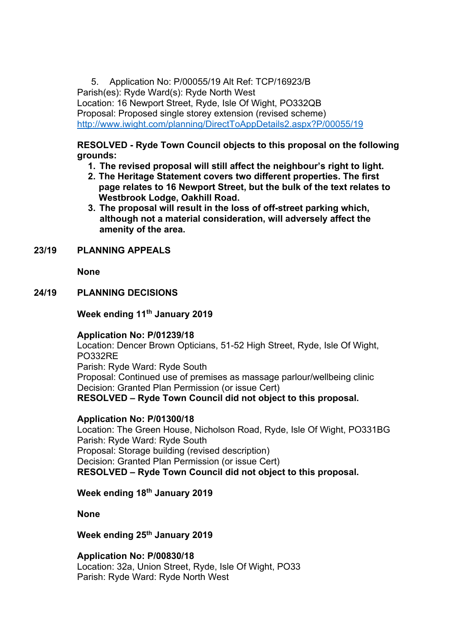5. Application No: P/00055/19 Alt Ref: TCP/16923/B Parish(es): Ryde Ward(s): Ryde North West Location: 16 Newport Street, Ryde, Isle Of Wight, PO332QB Proposal: Proposed single storey extension (revised scheme) http://www.iwight.com/planning/DirectToAppDetails2.aspx?P/00055/19

# **RESOLVED - Ryde Town Council objects to this proposal on the following grounds:**

- **1. The revised proposal will still affect the neighbour's right to light.**
- **2. The Heritage Statement covers two different properties. The first page relates to 16 Newport Street, but the bulk of the text relates to Westbrook Lodge, Oakhill Road.**
- **3. The proposal will result in the loss of off-street parking which, although not a material consideration, will adversely affect the amenity of the area.**

# **23/19 PLANNING APPEALS**

**None**

#### **24/19 PLANNING DECISIONS**

**Week ending 11th January 2019**

#### **Application No: P/01239/18**

Location: Dencer Brown Opticians, 51-52 High Street, Ryde, Isle Of Wight, PO332RE

Parish: Ryde Ward: Ryde South

Proposal: Continued use of premises as massage parlour/wellbeing clinic Decision: Granted Plan Permission (or issue Cert)

**RESOLVED – Ryde Town Council did not object to this proposal.**

# **Application No: P/01300/18**

Location: The Green House, Nicholson Road, Ryde, Isle Of Wight, PO331BG Parish: Ryde Ward: Ryde South Proposal: Storage building (revised description) Decision: Granted Plan Permission (or issue Cert) **RESOLVED – Ryde Town Council did not object to this proposal.**

#### **Week ending 18th January 2019**

**None**

#### **Week ending 25th January 2019**

**Application No: P/00830/18** Location: 32a, Union Street, Ryde, Isle Of Wight, PO33 Parish: Ryde Ward: Ryde North West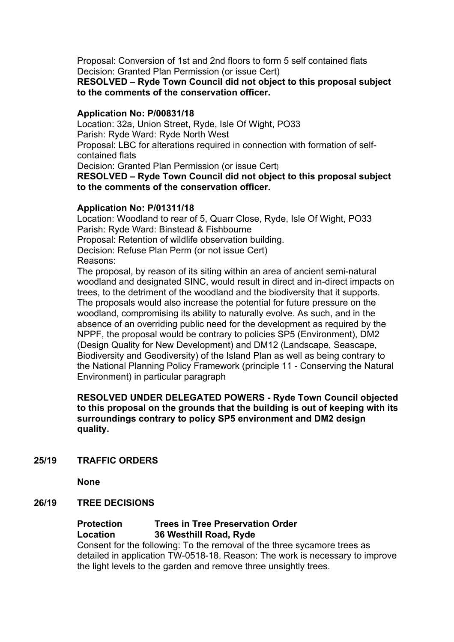Proposal: Conversion of 1st and 2nd floors to form 5 self contained flats Decision: Granted Plan Permission (or issue Cert)

**RESOLVED – Ryde Town Council did not object to this proposal subject to the comments of the conservation officer.**

#### **Application No: P/00831/18**

Location: 32a, Union Street, Ryde, Isle Of Wight, PO33 Parish: Ryde Ward: Ryde North West Proposal: LBC for alterations required in connection with formation of selfcontained flats Decision: Granted Plan Permission (or issue Cert) **RESOLVED – Ryde Town Council did not object to this proposal subject to the comments of the conservation officer.**

#### **Application No: P/01311/18**

Location: Woodland to rear of 5, Quarr Close, Ryde, Isle Of Wight, PO33 Parish: Ryde Ward: Binstead & Fishbourne Proposal: Retention of wildlife observation building. Decision: Refuse Plan Perm (or not issue Cert) Reasons:

The proposal, by reason of its siting within an area of ancient semi-natural woodland and designated SINC, would result in direct and in-direct impacts on trees, to the detriment of the woodland and the biodiversity that it supports. The proposals would also increase the potential for future pressure on the woodland, compromising its ability to naturally evolve. As such, and in the absence of an overriding public need for the development as required by the NPPF, the proposal would be contrary to policies SP5 (Environment), DM2 (Design Quality for New Development) and DM12 (Landscape, Seascape, Biodiversity and Geodiversity) of the Island Plan as well as being contrary to the National Planning Policy Framework (principle 11 - Conserving the Natural Environment) in particular paragraph

**RESOLVED UNDER DELEGATED POWERS - Ryde Town Council objected to this proposal on the grounds that the building is out of keeping with its surroundings contrary to policy SP5 environment and DM2 design quality.**

**25/19 TRAFFIC ORDERS** 

**None**

#### **26/19 TREE DECISIONS**

# **Protection Trees in Tree Preservation Order Location 36 Westhill Road, Ryde**

Consent for the following: To the removal of the three sycamore trees as detailed in application TW-0518-18. Reason: The work is necessary to improve the light levels to the garden and remove three unsightly trees.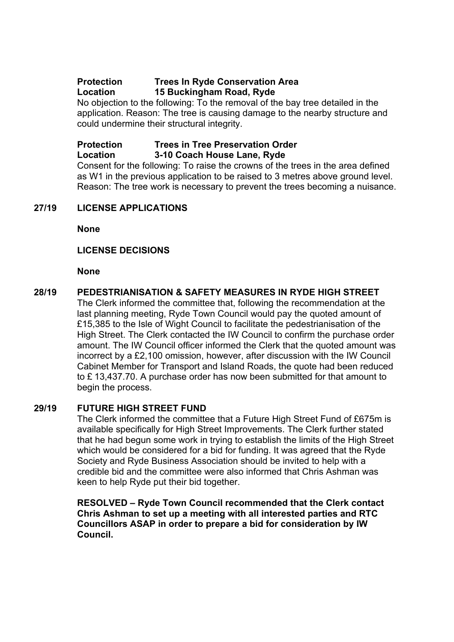# **Protection Trees In Ryde Conservation Area Location 15 Buckingham Road, Ryde**

No objection to the following: To the removal of the bay tree detailed in the application. Reason: The tree is causing damage to the nearby structure and could undermine their structural integrity.

#### **Protection Trees in Tree Preservation Order Location 3-10 Coach House Lane, Ryde**

Consent for the following: To raise the crowns of the trees in the area defined as W1 in the previous application to be raised to 3 metres above ground level. Reason: The tree work is necessary to prevent the trees becoming a nuisance.

# **27/19 LICENSE APPLICATIONS**

**None**

#### **LICENSE DECISIONS**

**None**

#### **28/19 PEDESTRIANISATION & SAFETY MEASURES IN RYDE HIGH STREET**

The Clerk informed the committee that, following the recommendation at the last planning meeting, Ryde Town Council would pay the quoted amount of £15,385 to the Isle of Wight Council to facilitate the pedestrianisation of the High Street. The Clerk contacted the IW Council to confirm the purchase order amount. The IW Council officer informed the Clerk that the quoted amount was incorrect by a £2,100 omission, however, after discussion with the IW Council Cabinet Member for Transport and Island Roads, the quote had been reduced to £ 13,437.70. A purchase order has now been submitted for that amount to begin the process.

#### **29/19 FUTURE HIGH STREET FUND**

The Clerk informed the committee that a Future High Street Fund of £675m is available specifically for High Street Improvements. The Clerk further stated that he had begun some work in trying to establish the limits of the High Street which would be considered for a bid for funding. It was agreed that the Ryde Society and Ryde Business Association should be invited to help with a credible bid and the committee were also informed that Chris Ashman was keen to help Ryde put their bid together.

**RESOLVED – Ryde Town Council recommended that the Clerk contact Chris Ashman to set up a meeting with all interested parties and RTC Councillors ASAP in order to prepare a bid for consideration by IW Council.**